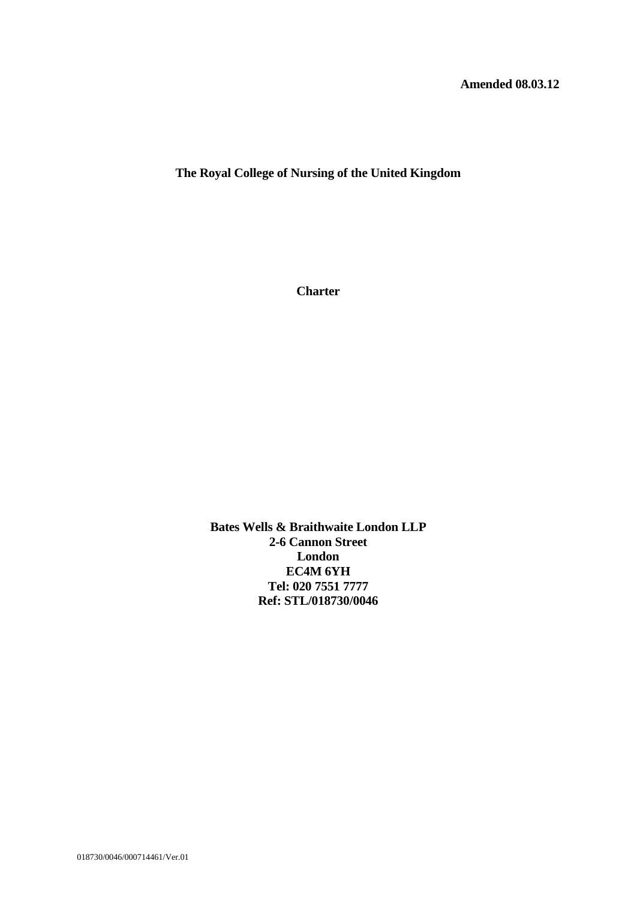**The Royal College of Nursing of the United Kingdom**

**Charter**

**Bates Wells & Braithwaite London LLP 2-6 Cannon Street London EC4M 6YH Tel: 020 7551 7777 Ref: STL/018730/0046**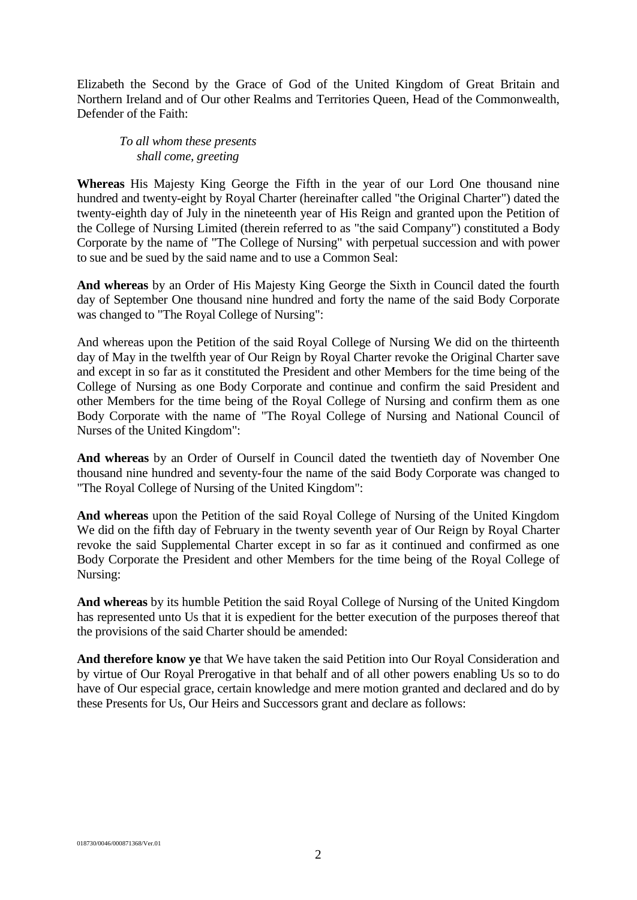Elizabeth the Second by the Grace of God of the United Kingdom of Great Britain and Northern Ireland and of Our other Realms and Territories Queen, Head of the Commonwealth, Defender of the Faith:

*To all whom these presents shall come, greeting*

**Whereas** His Majesty King George the Fifth in the year of our Lord One thousand nine hundred and twenty-eight by Royal Charter (hereinafter called "the Original Charter") dated the twenty-eighth day of July in the nineteenth year of His Reign and granted upon the Petition of the College of Nursing Limited (therein referred to as "the said Company") constituted a Body Corporate by the name of "The College of Nursing" with perpetual succession and with power to sue and be sued by the said name and to use a Common Seal:

**And whereas** by an Order of His Majesty King George the Sixth in Council dated the fourth day of September One thousand nine hundred and forty the name of the said Body Corporate was changed to "The Royal College of Nursing":

And whereas upon the Petition of the said Royal College of Nursing We did on the thirteenth day of May in the twelfth year of Our Reign by Royal Charter revoke the Original Charter save and except in so far as it constituted the President and other Members for the time being of the College of Nursing as one Body Corporate and continue and confirm the said President and other Members for the time being of the Royal College of Nursing and confirm them as one Body Corporate with the name of "The Royal College of Nursing and National Council of Nurses of the United Kingdom":

**And whereas** by an Order of Ourself in Council dated the twentieth day of November One thousand nine hundred and seventy-four the name of the said Body Corporate was changed to "The Royal College of Nursing of the United Kingdom":

**And whereas** upon the Petition of the said Royal College of Nursing of the United Kingdom We did on the fifth day of February in the twenty seventh year of Our Reign by Royal Charter revoke the said Supplemental Charter except in so far as it continued and confirmed as one Body Corporate the President and other Members for the time being of the Royal College of Nursing:

**And whereas** by its humble Petition the said Royal College of Nursing of the United Kingdom has represented unto Us that it is expedient for the better execution of the purposes thereof that the provisions of the said Charter should be amended:

**And therefore know ye** that We have taken the said Petition into Our Royal Consideration and by virtue of Our Royal Prerogative in that behalf and of all other powers enabling Us so to do have of Our especial grace, certain knowledge and mere motion granted and declared and do by these Presents for Us, Our Heirs and Successors grant and declare as follows: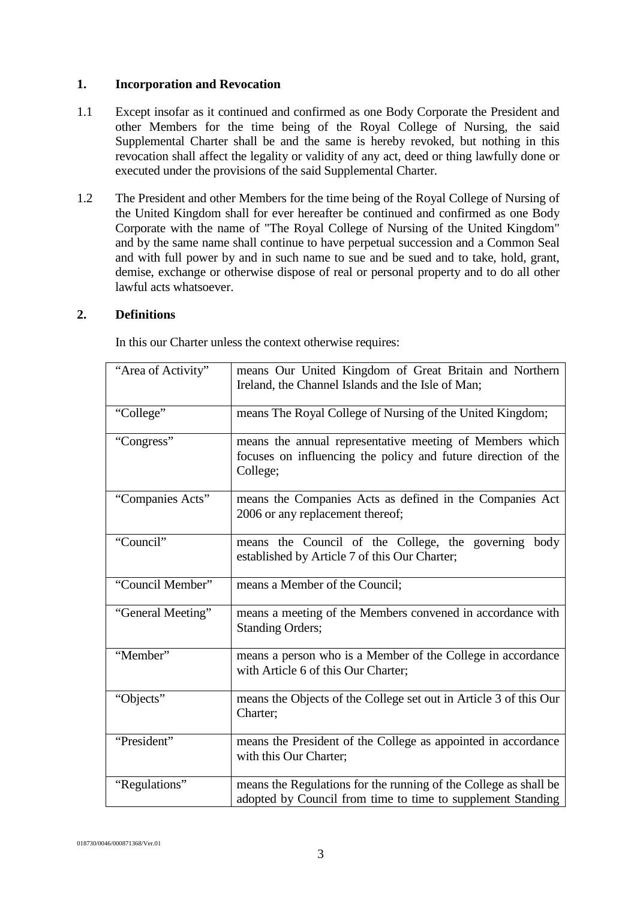## **1. Incorporation and Revocation**

- 1.1 Except insofar as it continued and confirmed as one Body Corporate the President and other Members for the time being of the Royal College of Nursing, the said Supplemental Charter shall be and the same is hereby revoked, but nothing in this revocation shall affect the legality or validity of any act, deed or thing lawfully done or executed under the provisions of the said Supplemental Charter.
- 1.2 The President and other Members for the time being of the Royal College of Nursing of the United Kingdom shall for ever hereafter be continued and confirmed as one Body Corporate with the name of "The Royal College of Nursing of the United Kingdom" and by the same name shall continue to have perpetual succession and a Common Seal and with full power by and in such name to sue and be sued and to take, hold, grant, demise, exchange or otherwise dispose of real or personal property and to do all other lawful acts whatsoever.

## **2. Definitions**

In this our Charter unless the context otherwise requires:

| "Area of Activity" | means Our United Kingdom of Great Britain and Northern<br>Ireland, the Channel Islands and the Isle of Man;                           |
|--------------------|---------------------------------------------------------------------------------------------------------------------------------------|
| "College"          | means The Royal College of Nursing of the United Kingdom;                                                                             |
| "Congress"         | means the annual representative meeting of Members which<br>focuses on influencing the policy and future direction of the<br>College; |
| "Companies Acts"   | means the Companies Acts as defined in the Companies Act<br>2006 or any replacement thereof;                                          |
| "Council"          | means the Council of the College, the governing body<br>established by Article 7 of this Our Charter;                                 |
| "Council Member"   | means a Member of the Council;                                                                                                        |
| "General Meeting"  | means a meeting of the Members convened in accordance with<br><b>Standing Orders;</b>                                                 |
| "Member"           | means a person who is a Member of the College in accordance<br>with Article 6 of this Our Charter;                                    |
| "Objects"          | means the Objects of the College set out in Article 3 of this Our<br>Charter;                                                         |
| "President"        | means the President of the College as appointed in accordance<br>with this Our Charter;                                               |
| "Regulations"      | means the Regulations for the running of the College as shall be<br>adopted by Council from time to time to supplement Standing       |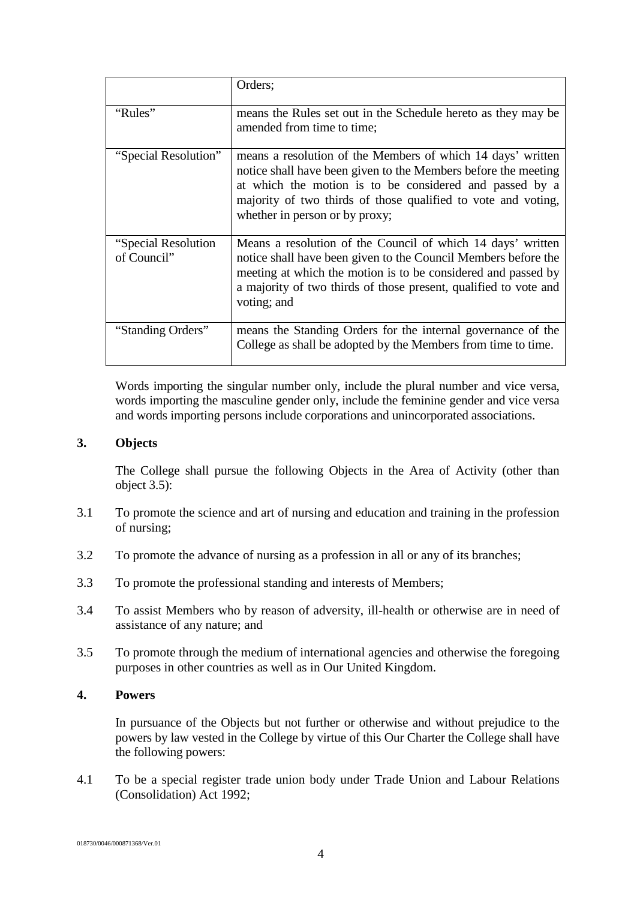|                                     | Orders;                                                                                                                                                                                                                                                                                     |
|-------------------------------------|---------------------------------------------------------------------------------------------------------------------------------------------------------------------------------------------------------------------------------------------------------------------------------------------|
| "Rules"                             | means the Rules set out in the Schedule hereto as they may be<br>amended from time to time;                                                                                                                                                                                                 |
| "Special Resolution"                | means a resolution of the Members of which 14 days' written<br>notice shall have been given to the Members before the meeting<br>at which the motion is to be considered and passed by a<br>majority of two thirds of those qualified to vote and voting,<br>whether in person or by proxy; |
| "Special Resolution"<br>of Council" | Means a resolution of the Council of which 14 days' written<br>notice shall have been given to the Council Members before the<br>meeting at which the motion is to be considered and passed by<br>a majority of two thirds of those present, qualified to vote and<br>voting; and           |
| "Standing Orders"                   | means the Standing Orders for the internal governance of the<br>College as shall be adopted by the Members from time to time.                                                                                                                                                               |

Words importing the singular number only, include the plural number and vice versa, words importing the masculine gender only, include the feminine gender and vice versa and words importing persons include corporations and unincorporated associations.

## **3. Objects**

The College shall pursue the following Objects in the Area of Activity (other than object 3.5):

- 3.1 To promote the science and art of nursing and education and training in the profession of nursing;
- 3.2 To promote the advance of nursing as a profession in all or any of its branches;
- 3.3 To promote the professional standing and interests of Members;
- 3.4 To assist Members who by reason of adversity, ill-health or otherwise are in need of assistance of any nature; and
- 3.5 To promote through the medium of international agencies and otherwise the foregoing purposes in other countries as well as in Our United Kingdom.

## **4. Powers**

In pursuance of the Objects but not further or otherwise and without prejudice to the powers by law vested in the College by virtue of this Our Charter the College shall have the following powers:

4.1 To be a special register trade union body under Trade Union and Labour Relations (Consolidation) Act 1992;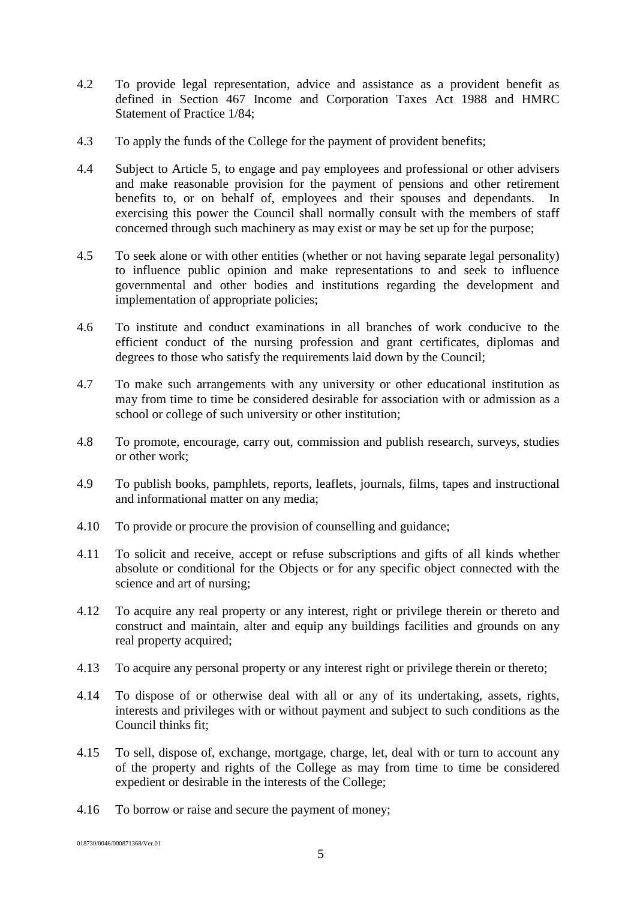- 4.2 To provide legal representation, advice and assistance as a provident benefit as defined in Section 467 Income and Corporation Taxes Act 1988 and HMRC Statement of Practice 1/84;
- 4.3 To apply the funds of the College for the payment of provident benefits;
- 4.4 Subject to Article 5, to engage and pay employees and professional or other advisers and make reasonable provision for the payment of pensions and other retirement benefits to, or on behalf of, employees and their spouses and dependants. In exercising this power the Council shall normally consult with the members of staff concerned through such machinery as may exist or may be set up for the purpose;
- 4.5 To seek alone or with other entities (whether or not having separate legal personality) to influence public opinion and make representations to and seek to influence governmental and other bodies and institutions regarding the development and implementation of appropriate policies;
- 4.6 To institute and conduct examinations in all branches of work conducive to the efficient conduct of the nursing profession and grant certificates, diplomas and degrees to those who satisfy the requirements laid down by the Council;
- 4.7 To make such arrangements with any university or other educational institution as may from time to time be considered desirable for association with or admission as a school or college of such university or other institution;
- 4.8 To promote, encourage, carry out, commission and publish research, surveys, studies or other work;
- 4.9 To publish books, pamphlets, reports, leaflets, journals, films, tapes and instructional and informational matter on any media;
- 4.10 To provide or procure the provision of counselling and guidance;
- 4.11 To solicit and receive, accept or refuse subscriptions and gifts of all kinds whether absolute or conditional for the Objects or for any specific object connected with the science and art of nursing;
- 4.12 To acquire any real property or any interest, right or privilege therein or thereto and construct and maintain, alter and equip any buildings facilities and grounds on any real property acquired;
- 4.13 To acquire any personal property or any interest right or privilege therein or thereto;
- 4.14 To dispose of or otherwise deal with all or any of its undertaking, assets, rights, interests and privileges with or without payment and subject to such conditions as the Council thinks fit;
- 4.15 To sell, dispose of, exchange, mortgage, charge, let, deal with or turn to account any of the property and rights of the College as may from time to time be considered expedient or desirable in the interests of the College;
- 4.16 To borrow or raise and secure the payment of money;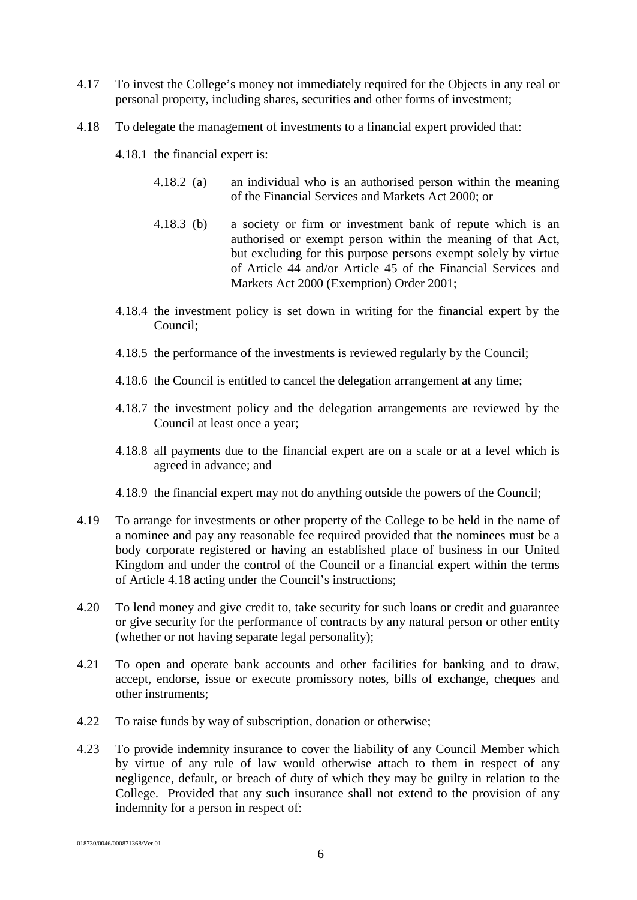- 4.17 To invest the College's money not immediately required for the Objects in any real or personal property, including shares, securities and other forms of investment;
- 4.18 To delegate the management of investments to a financial expert provided that:
	- 4.18.1 the financial expert is:
		- 4.18.2 (a) an individual who is an authorised person within the meaning of the Financial Services and Markets Act 2000; or
		- 4.18.3 (b) a society or firm or investment bank of repute which is an authorised or exempt person within the meaning of that Act, but excluding for this purpose persons exempt solely by virtue of Article 44 and/or Article 45 of the Financial Services and Markets Act 2000 (Exemption) Order 2001;
	- 4.18.4 the investment policy is set down in writing for the financial expert by the Council;
	- 4.18.5 the performance of the investments is reviewed regularly by the Council;
	- 4.18.6 the Council is entitled to cancel the delegation arrangement at any time;
	- 4.18.7 the investment policy and the delegation arrangements are reviewed by the Council at least once a year;
	- 4.18.8 all payments due to the financial expert are on a scale or at a level which is agreed in advance; and
	- 4.18.9 the financial expert may not do anything outside the powers of the Council;
- 4.19 To arrange for investments or other property of the College to be held in the name of a nominee and pay any reasonable fee required provided that the nominees must be a body corporate registered or having an established place of business in our United Kingdom and under the control of the Council or a financial expert within the terms of Article 4.18 acting under the Council's instructions;
- 4.20 To lend money and give credit to, take security for such loans or credit and guarantee or give security for the performance of contracts by any natural person or other entity (whether or not having separate legal personality);
- 4.21 To open and operate bank accounts and other facilities for banking and to draw, accept, endorse, issue or execute promissory notes, bills of exchange, cheques and other instruments;
- 4.22 To raise funds by way of subscription, donation or otherwise;
- 4.23 To provide indemnity insurance to cover the liability of any Council Member which by virtue of any rule of law would otherwise attach to them in respect of any negligence, default, or breach of duty of which they may be guilty in relation to the College. Provided that any such insurance shall not extend to the provision of any indemnity for a person in respect of:

<sup>018730/0046/000871368/</sup>Ver.01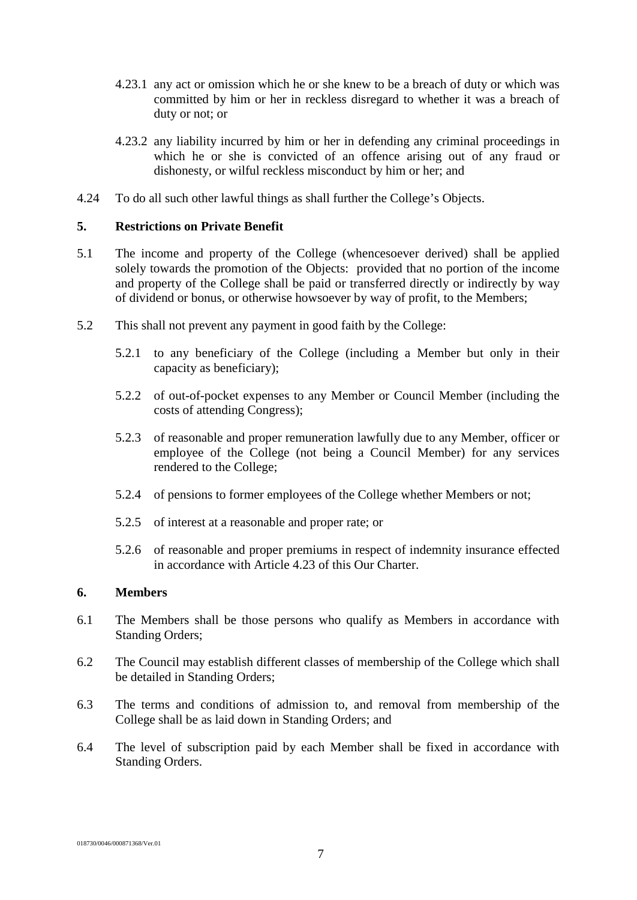- 4.23.1 any act or omission which he or she knew to be a breach of duty or which was committed by him or her in reckless disregard to whether it was a breach of duty or not; or
- 4.23.2 any liability incurred by him or her in defending any criminal proceedings in which he or she is convicted of an offence arising out of any fraud or dishonesty, or wilful reckless misconduct by him or her; and
- 4.24 To do all such other lawful things as shall further the College's Objects.

## **5. Restrictions on Private Benefit**

- 5.1 The income and property of the College (whencesoever derived) shall be applied solely towards the promotion of the Objects: provided that no portion of the income and property of the College shall be paid or transferred directly or indirectly by way of dividend or bonus, or otherwise howsoever by way of profit, to the Members;
- 5.2 This shall not prevent any payment in good faith by the College:
	- 5.2.1 to any beneficiary of the College (including a Member but only in their capacity as beneficiary);
	- 5.2.2 of out-of-pocket expenses to any Member or Council Member (including the costs of attending Congress);
	- 5.2.3 of reasonable and proper remuneration lawfully due to any Member, officer or employee of the College (not being a Council Member) for any services rendered to the College;
	- 5.2.4 of pensions to former employees of the College whether Members or not;
	- 5.2.5 of interest at a reasonable and proper rate; or
	- 5.2.6 of reasonable and proper premiums in respect of indemnity insurance effected in accordance with Article 4.23 of this Our Charter.

#### **6. Members**

- 6.1 The Members shall be those persons who qualify as Members in accordance with Standing Orders;
- 6.2 The Council may establish different classes of membership of the College which shall be detailed in Standing Orders;
- 6.3 The terms and conditions of admission to, and removal from membership of the College shall be as laid down in Standing Orders; and
- 6.4 The level of subscription paid by each Member shall be fixed in accordance with Standing Orders.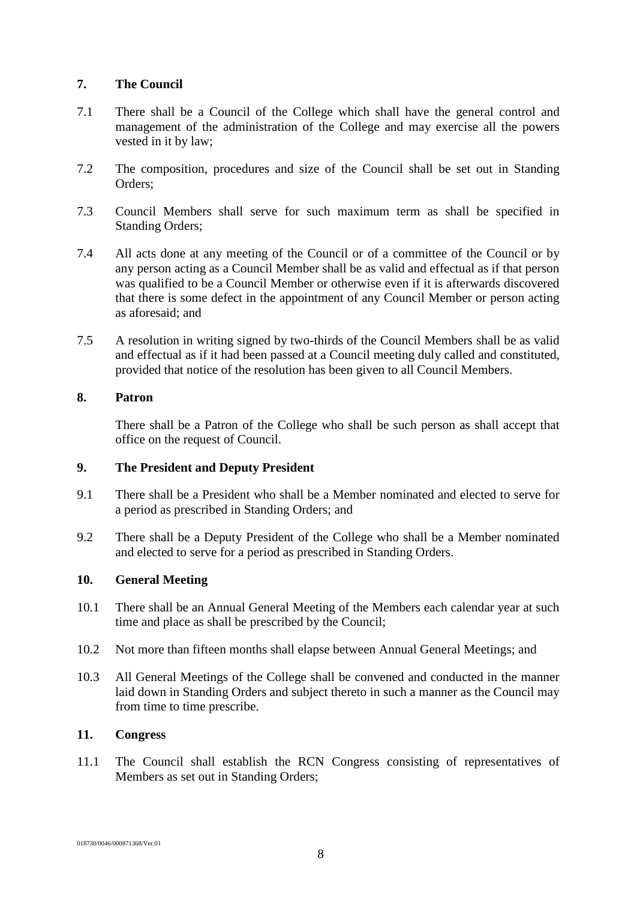## **7. The Council**

- 7.1 There shall be a Council of the College which shall have the general control and management of the administration of the College and may exercise all the powers vested in it by law;
- 7.2 The composition, procedures and size of the Council shall be set out in Standing Orders;
- 7.3 Council Members shall serve for such maximum term as shall be specified in Standing Orders;
- 7.4 All acts done at any meeting of the Council or of a committee of the Council or by any person acting as a Council Member shall be as valid and effectual as if that person was qualified to be a Council Member or otherwise even if it is afterwards discovered that there is some defect in the appointment of any Council Member or person acting as aforesaid; and
- 7.5 A resolution in writing signed by two-thirds of the Council Members shall be as valid and effectual as if it had been passed at a Council meeting duly called and constituted, provided that notice of the resolution has been given to all Council Members.

# **8. Patron**

There shall be a Patron of the College who shall be such person as shall accept that office on the request of Council.

# **9. The President and Deputy President**

- 9.1 There shall be a President who shall be a Member nominated and elected to serve for a period as prescribed in Standing Orders; and
- 9.2 There shall be a Deputy President of the College who shall be a Member nominated and elected to serve for a period as prescribed in Standing Orders.

## **10. General Meeting**

- 10.1 There shall be an Annual General Meeting of the Members each calendar year at such time and place as shall be prescribed by the Council;
- 10.2 Not more than fifteen months shall elapse between Annual General Meetings; and
- 10.3 All General Meetings of the College shall be convened and conducted in the manner laid down in Standing Orders and subject thereto in such a manner as the Council may from time to time prescribe.

# **11. Congress**

11.1 The Council shall establish the RCN Congress consisting of representatives of Members as set out in Standing Orders;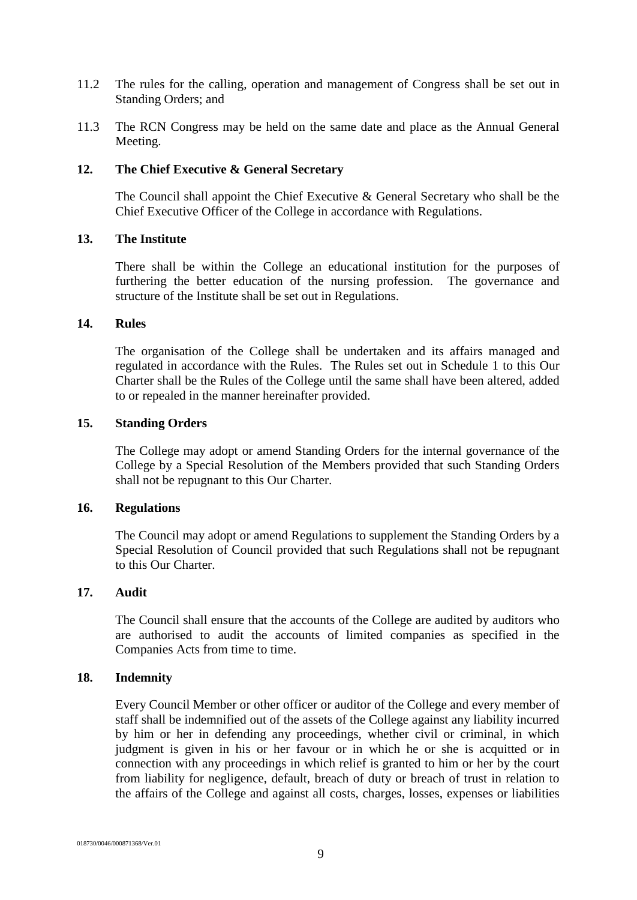- 11.2 The rules for the calling, operation and management of Congress shall be set out in Standing Orders; and
- 11.3 The RCN Congress may be held on the same date and place as the Annual General Meeting.

#### **12. The Chief Executive & General Secretary**

The Council shall appoint the Chief Executive & General Secretary who shall be the Chief Executive Officer of the College in accordance with Regulations.

#### **13. The Institute**

There shall be within the College an educational institution for the purposes of furthering the better education of the nursing profession. The governance and structure of the Institute shall be set out in Regulations.

#### **14. Rules**

The organisation of the College shall be undertaken and its affairs managed and regulated in accordance with the Rules. The Rules set out in Schedule 1 to this Our Charter shall be the Rules of the College until the same shall have been altered, added to or repealed in the manner hereinafter provided.

#### **15. Standing Orders**

The College may adopt or amend Standing Orders for the internal governance of the College by a Special Resolution of the Members provided that such Standing Orders shall not be repugnant to this Our Charter.

#### **16. Regulations**

The Council may adopt or amend Regulations to supplement the Standing Orders by a Special Resolution of Council provided that such Regulations shall not be repugnant to this Our Charter.

## **17. Audit**

The Council shall ensure that the accounts of the College are audited by auditors who are authorised to audit the accounts of limited companies as specified in the Companies Acts from time to time.

#### **18. Indemnity**

Every Council Member or other officer or auditor of the College and every member of staff shall be indemnified out of the assets of the College against any liability incurred by him or her in defending any proceedings, whether civil or criminal, in which judgment is given in his or her favour or in which he or she is acquitted or in connection with any proceedings in which relief is granted to him or her by the court from liability for negligence, default, breach of duty or breach of trust in relation to the affairs of the College and against all costs, charges, losses, expenses or liabilities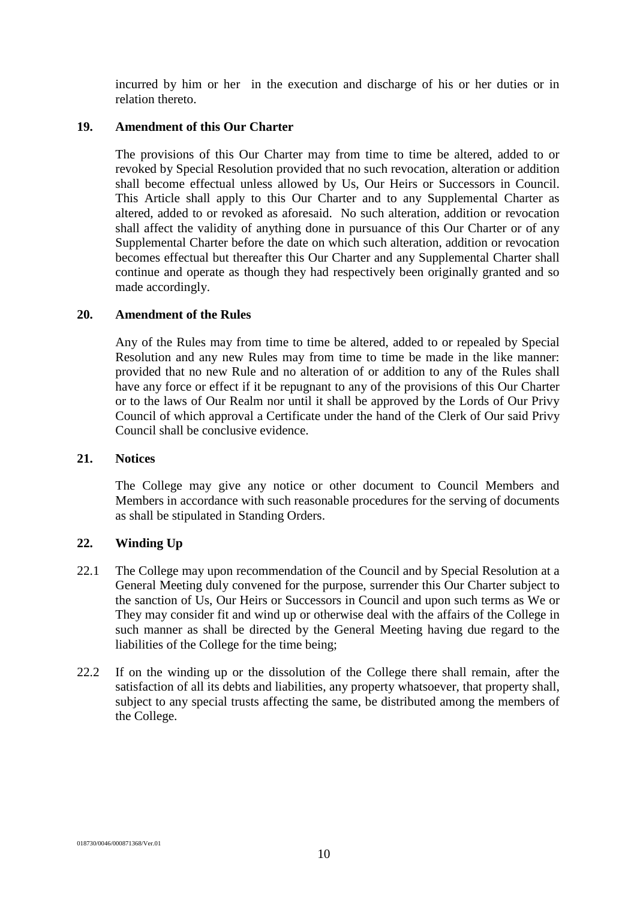incurred by him or her in the execution and discharge of his or her duties or in relation thereto.

#### **19. Amendment of this Our Charter**

The provisions of this Our Charter may from time to time be altered, added to or revoked by Special Resolution provided that no such revocation, alteration or addition shall become effectual unless allowed by Us, Our Heirs or Successors in Council. This Article shall apply to this Our Charter and to any Supplemental Charter as altered, added to or revoked as aforesaid. No such alteration, addition or revocation shall affect the validity of anything done in pursuance of this Our Charter or of any Supplemental Charter before the date on which such alteration, addition or revocation becomes effectual but thereafter this Our Charter and any Supplemental Charter shall continue and operate as though they had respectively been originally granted and so made accordingly.

#### **20. Amendment of the Rules**

Any of the Rules may from time to time be altered, added to or repealed by Special Resolution and any new Rules may from time to time be made in the like manner: provided that no new Rule and no alteration of or addition to any of the Rules shall have any force or effect if it be repugnant to any of the provisions of this Our Charter or to the laws of Our Realm nor until it shall be approved by the Lords of Our Privy Council of which approval a Certificate under the hand of the Clerk of Our said Privy Council shall be conclusive evidence.

#### **21. Notices**

The College may give any notice or other document to Council Members and Members in accordance with such reasonable procedures for the serving of documents as shall be stipulated in Standing Orders.

## **22. Winding Up**

- 22.1 The College may upon recommendation of the Council and by Special Resolution at a General Meeting duly convened for the purpose, surrender this Our Charter subject to the sanction of Us, Our Heirs or Successors in Council and upon such terms as We or They may consider fit and wind up or otherwise deal with the affairs of the College in such manner as shall be directed by the General Meeting having due regard to the liabilities of the College for the time being;
- 22.2 If on the winding up or the dissolution of the College there shall remain, after the satisfaction of all its debts and liabilities, any property whatsoever, that property shall, subject to any special trusts affecting the same, be distributed among the members of the College.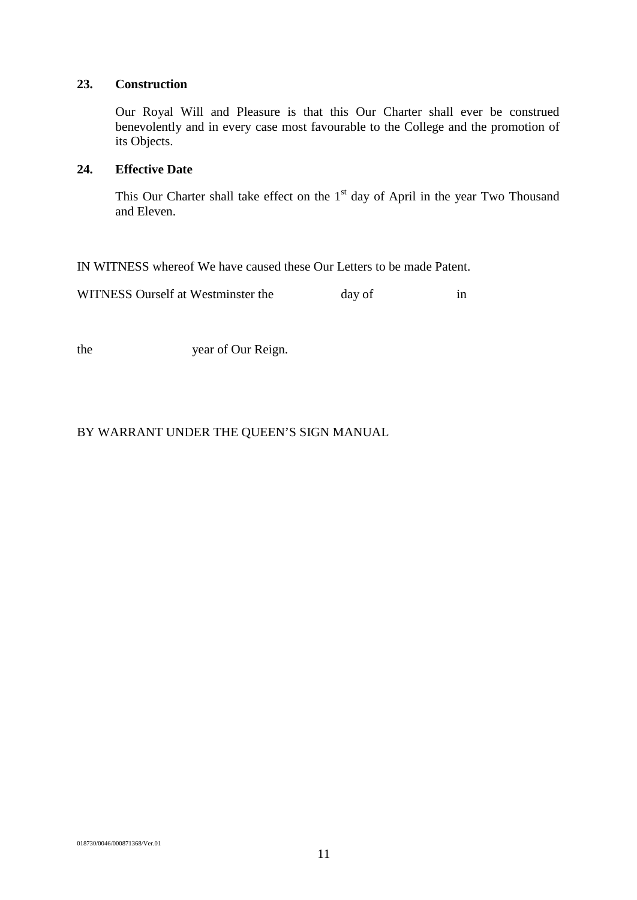#### **23. Construction**

Our Royal Will and Pleasure is that this Our Charter shall ever be construed benevolently and in every case most favourable to the College and the promotion of its Objects.

#### **24. Effective Date**

This Our Charter shall take effect on the 1<sup>st</sup> day of April in the year Two Thousand and Eleven.

IN WITNESS whereof We have caused these Our Letters to be made Patent.

WITNESS Ourself at Westminster the day of in

the year of Our Reign.

# BY WARRANT UNDER THE QUEEN'S SIGN MANUAL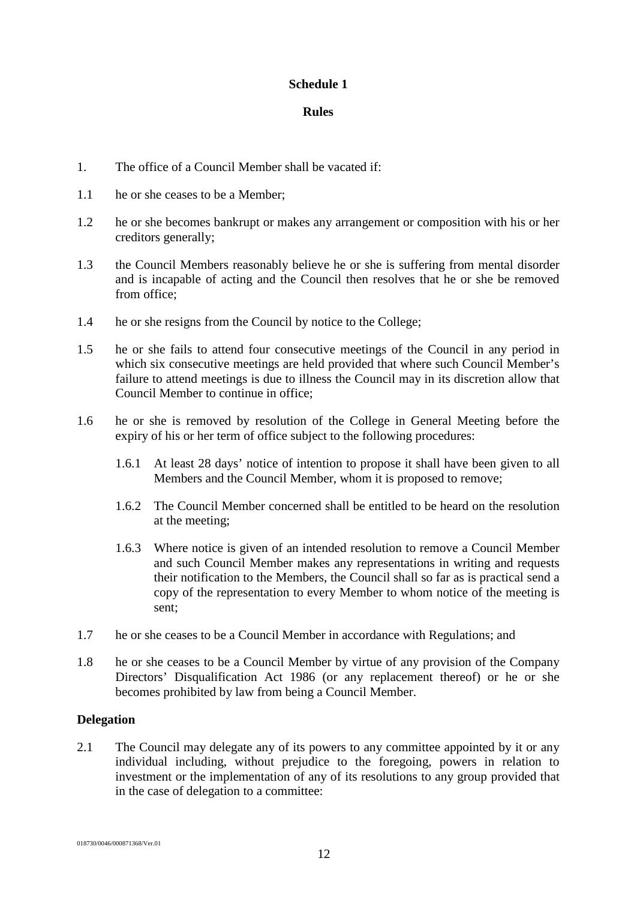## **Schedule 1**

## **Rules**

- 1. The office of a Council Member shall be vacated if:
- 1.1 he or she ceases to be a Member;
- 1.2 he or she becomes bankrupt or makes any arrangement or composition with his or her creditors generally;
- 1.3 the Council Members reasonably believe he or she is suffering from mental disorder and is incapable of acting and the Council then resolves that he or she be removed from office;
- 1.4 he or she resigns from the Council by notice to the College;
- 1.5 he or she fails to attend four consecutive meetings of the Council in any period in which six consecutive meetings are held provided that where such Council Member's failure to attend meetings is due to illness the Council may in its discretion allow that Council Member to continue in office;
- 1.6 he or she is removed by resolution of the College in General Meeting before the expiry of his or her term of office subject to the following procedures:
	- 1.6.1 At least 28 days' notice of intention to propose it shall have been given to all Members and the Council Member, whom it is proposed to remove;
	- 1.6.2 The Council Member concerned shall be entitled to be heard on the resolution at the meeting;
	- 1.6.3 Where notice is given of an intended resolution to remove a Council Member and such Council Member makes any representations in writing and requests their notification to the Members, the Council shall so far as is practical send a copy of the representation to every Member to whom notice of the meeting is sent;
- 1.7 he or she ceases to be a Council Member in accordance with Regulations; and
- 1.8 he or she ceases to be a Council Member by virtue of any provision of the Company Directors' Disqualification Act 1986 (or any replacement thereof) or he or she becomes prohibited by law from being a Council Member.

## **Delegation**

2.1 The Council may delegate any of its powers to any committee appointed by it or any individual including, without prejudice to the foregoing, powers in relation to investment or the implementation of any of its resolutions to any group provided that in the case of delegation to a committee: